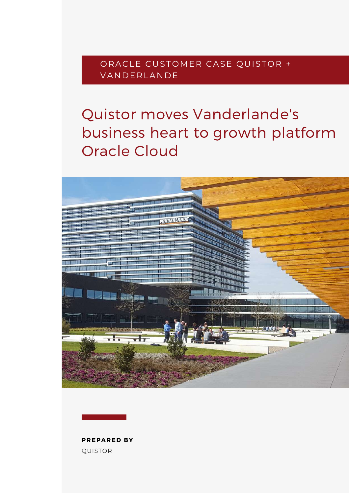ORACLE CUSTOMER CASE QUISTOR + **VANDERLANDE** 

# Quistor moves Vanderlande's business heart to growth platform Oracle Cloud



QUISTOR **PREPARED BY**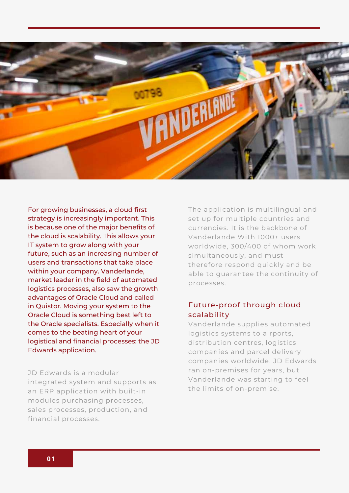

For growing businesses, a cloud first strategy is increasingly important. This is because one of the major benefits of the cloud is scalability. This allows your IT system to grow along with your future, such as an increasing number of users and transactions that take place within your company. Vanderlande, market leader in the field of automated logistics processes, also saw the growth advantages of Oracle Cloud and called in Quistor. Moving your system to the Oracle Cloud is something best left to the Oracle specialists. Especially when it comes to the beating heart of your logistical and financial processes: the JD Edwards application.

JD Edwards is a modular integrated system and supports as an ERP application with built-in modules purchasing processes, sales processes, production, and financial processes.

The application is multilingual and set up for multiple countries and currencies. It is the backbone of Vanderlande With 1000+ users worldwide, 300/400 of whom work simultaneously, and must therefore respond quickly and be able to guarantee the continuity of processes.

#### Future-proof through cloud scalability

Vanderlande supplies automated logistics systems to airports, distribution centres, logistics companies and parcel delivery companies worldwide. JD Edwards ran on-premises for years, but Vanderlande was starting to feel the limits of on-premise.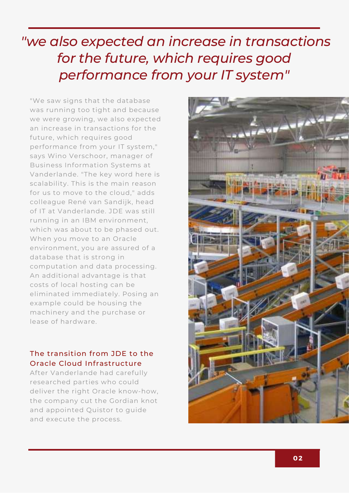# *''we also expected an increase in transactions for the future, which requires good performance from your IT system"*

"We saw signs that the database was running too tight and because we were growing, we also expected an increase in transactions for the future, which requires good performance from your IT system," says Wino Verschoor, manager of Business Information Systems at Vanderlande. "The key word here is scalability. This is the main reason for us to move to the cloud," adds colleague René van Sandijk, head of IT at Vanderlande. JDE was still running in an IBM environment, which was about to be phased out. When you move to an Oracle environment, you are assured of a database that is strong in computation and data processing. An additional advantage is that costs of local hosting can be eliminated immediately. Posing an example could be housing the machinery and the purchase or lease of hardware.

### The transition from JDE to the Oracle Cloud Infrastructure

After Vanderlande had carefully researched parties who could deliver the right Oracle know-how, the company cut the Gordian knot and appointed Quistor to guide and execute the process.

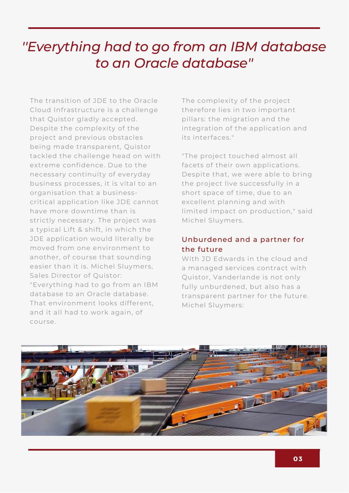## *''Everything had to go from an IBM database to an Oracle database''*

The transition of JDE to the Oracle Cloud Infrastructure is a challenge that Quistor gladly accepted. Despite the complexity of the project and previous obstacles being made transparent, Quistor tackled the challenge head on with extreme confidence. Due to the necessary continuity of everyday business processes, it is vital to an organisation that a businesscritical application like JDE cannot have more downtime than is strictly necessary. The project was a typical Lift & shift, in which the JDE application would literally be moved from one environment to another, of course that sounding easier than it is. Michel Sluymers, Sales Director of Quistor: "Everything had to go from an IBM database to an Oracle database. That environment looks different, and it all had to work again, of course.

The complexity of the project therefore lies in two important pillars: the migration and the integration of the application and its interfaces."

"The project touched almost all facets of their own applications. Despite that, we were able to bring the project live successfully in a short space of time, due to an excellent planning and with limited impact on production," said Michel Sluymers.

### Unburdened and a partner for the future

With JD Edwards in the cloud and a managed services contract with Quistor, Vanderlande is not only fully unburdened, but also has a transparent partner for the future. Michel Sluymers:

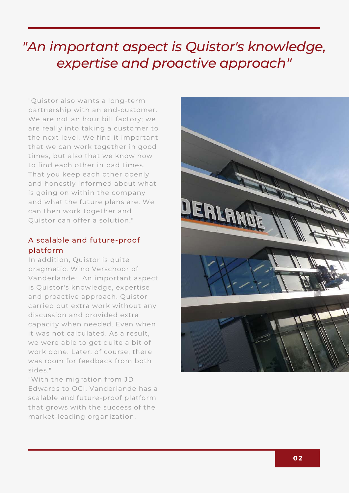# *"An important aspect is Quistor's knowledge, expertise and proactive approach''*

"Quistor also wants a long-term partnership with an end-customer. We are not an hour bill factory; we are really into taking a customer to the next level. We find it important that we can work together in good times, but also that we know how to find each other in bad times. That you keep each other openly and honestly informed about what is going on within the company and what the future plans are. We can then work together and Quistor can offer a solution."

#### A scalable and future-proof platform

In addition, Quistor is quite pragmatic. Wino Verschoor of Vanderlande: "An important aspect is Quistor's knowledge, expertise and proactive approach. Quistor carried out extra work without any discussion and provided extra capacity when needed. Even when it was not calculated. As a result, we were able to get quite a bit of work done. Later, of course, there was room for feedback from both sides."

"With the migration from JD Edwards to OCI, Vanderlande has a scalable and future-proof platform that grows with the success of the market-leading organization.

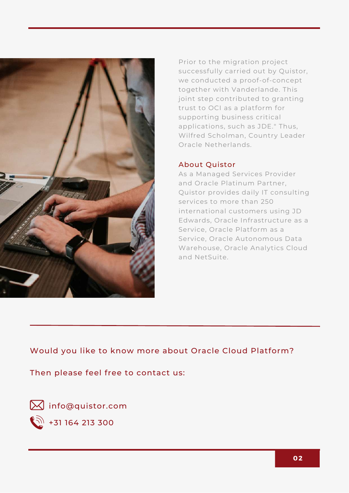

Prior to the migration project successfully carried out by Quistor, we conducted a proof-of-concept together with Vanderlande. This joint step contributed to granting trust to OCI as a platform for supporting business critical applications, such as JDE." Thus, Wilfred Scholman, Country Leader Oracle Netherlands.

#### About Quistor

As a Managed Services Provider and Oracle Platinum Partner, Quistor provides daily IT consulting services to more than 250 international customers using JD Edwards, Oracle Infrastructure as a Service, Oracle Platform as a Service, Oracle Autonomous Data Warehouse, Oracle Analytics Cloud and NetSuite.

Would you like to know more about Oracle Cloud Platform?

Then please feel free to contact us:

[info@quistor.com](mailto:info@quistor.com)

 $\binom{5}{2}$  +31 164 213 [300](tel:0031164213300)